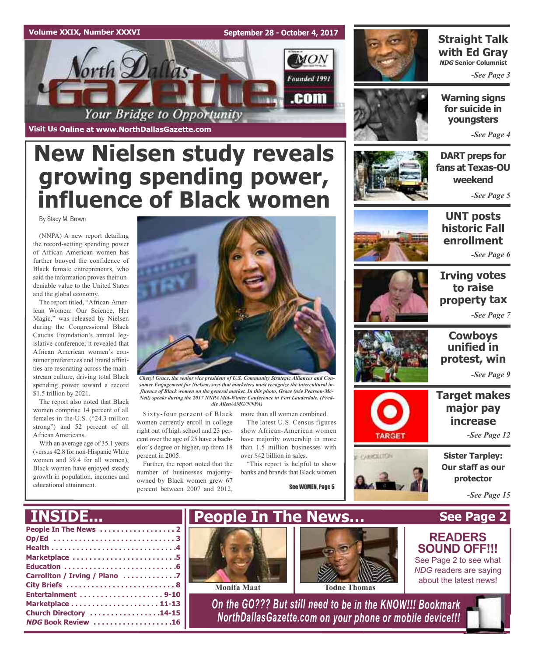### **Volume XXIX, Number XXXVI**

**September 28 - October 4, 2017**



**Visit Us Online at www.NorthDallasGazette.com**

# **New Nielsen study reveals growing spending power, influence of Black women**

By Stacy M. Brown

(NNPA) A new report detailing the record-setting spending power of African American women has further buoyed the confidence of Black female entrepreneurs, who said the information proves their undeniable value to the United States and the global economy.

The report titled, "African-American Women: Our Science, Her Magic," was released by Nielsen during the Congressional Black Caucus Foundation's annual legislative conference; it revealed that African American women's consumer preferences and brand affinities are resonating across the mainstream culture, driving total Black spending power toward a record \$1.5 trillion by 2021.

The report also noted that Black women comprise 14 percent of all females in the U.S. ("24.3 million strong") and 52 percent of all African Americans.

With an average age of 35.1 years (versus 42.8 for non-Hispanic White women and 39.4 for all women), Black women have enjoyed steady growth in population, incomes and educational attainment.



*Cheryl Grace, the senior vice president of U.S. Community Strategic Alliances and Consumer Engagement for Nielsen, says that marketers must recognize the intercultural influence of Black women on the general market. In this photo, Grace (née Pearson-Mc-Neil) speaks during the 2017 NNPA Mid-Winter Conference in Fort Lauderdale. (Freddie Allen/AMG/NNPA)*

Sixty-four percent of Black women currently enroll in college right out of high school and 23 percent over the age of 25 have a bachelor's degree or higher, up from 18 percent in 2005.

Further, the report noted that the number of businesses majorityowned by Black women grew 67 percent between 2007 and 2012,

more than all women combined. The latest U.S. Census figures show African-American women have majority ownership in more than 1.5 million businesses with

over \$42 billion in sales. "This report is helpful to show

banks and brands that Black women

**People In The News…**

See WOMEN, Page 5



### **Straight Talk with Ed Gray NDG Senior Columnist**

*-See Page 3*



*-See Page 4*

**DART preps for fans at Texas-OU weekend**

*-See Page 5*



**UNT posts historic Fall enrollment**

*-See Page 6*

### **Irving votes to raise property tax** *-See Page 7*



**CARCILLION** 

### **Cowboys unified in protest, win**

*-See Page 9*

### **Target makes major pay increase**

*-See Page 12*

**Sister Tarpley: Our staff as our protector**

**See Page 2**

**READERS SOUND OFF!!!** See Page 2 to see what *NDG* readers are saying about the latest news!

*-See Page 15*

## **INSIDE...**

| Op/Ed 3                       |
|-------------------------------|
|                               |
| Marketplace 5                 |
|                               |
| Carrollton / Irving / Plano 7 |
|                               |
|                               |
|                               |
| Church Directory 14-15        |
| NDG Book Review 16            |
|                               |





**Monifa Maat Todne Thomas**

*On the GO??? But still need to be in the KNOW!!! Bookmark NorthDallasGazette.com on your phone or mobile device!!!*

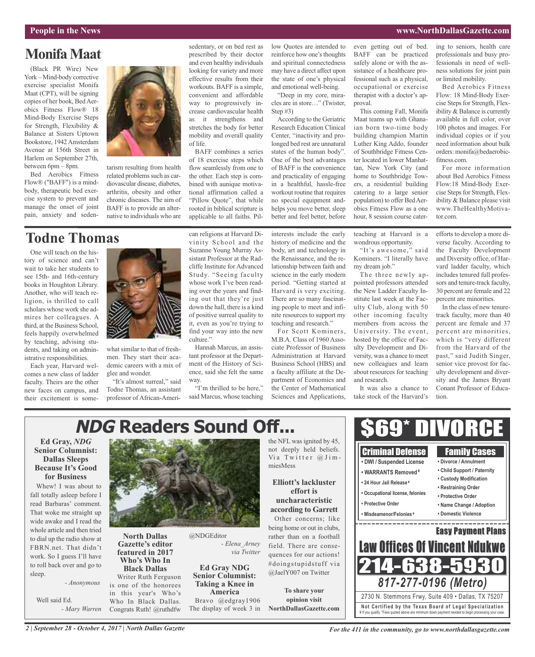#### **People in the News www.NorthDallasGazette.com**

### **MonifaMaat**

(Black PR Wire) New York – Mind-body corrective exercise specialist Monifa Maat (CPT), will be signing copies of her book, BedAerobics Fitness Flow® 18 Mind-Body Exercise Steps for Strength, Flexibility & Balance at Sisters Uptown Bookstore, 1942Amsterdam Avenue at 156th Street in Harlem on September 27th, between 6pm – 8pm.

Bed Aerobics Fitness Flow® ("BAFF") is a mindbody, therapeutic bed exercise system to prevent and manage the onset of joint pain, anxiety and seden-



tarism resulting from health related problems such as cardiovascular disease, diabetes, arthritis, obesity and other chronic diseases. The aim of BAFF is to provide an alternative to individuals who are

#### sedentary, or on bed rest as prescribed by their doctor and even healthy individuals looking for variety and more effective results from their workouts. BAFF is a simple, convenient and affordable way to progressively increase cardiovascular health as it strengthens and stretches the body for better mobility and overall quality of life.

BAFF combines a series of 18 exercise steps which flow seamlessly from one to the other. Each step is combined with aunique motivational affirmation called a "Pillow Quote", that while rooted in biblical scripture is applicable to all faiths. Pillow Quotes are intended to reinforce how one's thoughts and spiritual connectedness may have a direct affect upon the state of one's physical and emotional well-being.

"Deep in my core, miracles are in store…" (Twister, Step #3)

According to the Geriatric Research Education Clinical Center, "inactivity and prolonged bed rest are unnatural states of the human body". One of the best advantages of BAFF is the convenience and practicality of engaging in a healthful, hassle-free workout routine that requires no special equipment andhelps you move better, sleep better and feel better, before

even getting out of bed. BAFF can be practiced safely alone or with the assistance of a healthcare professional such as a physical, occupational or exercise therapist with a doctor's approval.

This coming Fall, Monifa Maat teams up with Ghanaian born two-time body building champion Martin Luther King Addo, founder of Southbridge Fitness Center located in lower Manhattan, New York City (and home to Southbridge Towers, a residential building catering to a large senior population) to offer BedAerobics Fitness Flow as a one hour, 8 session course cater-

ing to seniors, health care professionals and busy professionals in need of wellness solutions for joint pain or limited mobility.

Bed Aerobics Fitness Flow: 18 Mind-Body Exercise Steps for Strength, Flexibility & Balance is currently available in full color, over 100 photos and images. For individual copies or if you need information about bulk orders: monifa@bedaerobicfitness.com.

For more information about Bed Aerobics Fitness Flow:18 Mind-Body Exercise Steps for Strength, Flexibility & Balance please visit www.TheHealthyMotivator.com.

### **Todne Thomas**

One will teach on the history of science and can't wait to take her students to see 15th- and 16th-century books in Houghton Library. Another, who will teach religion, is thrilled to call scholars whose work she admires her colleagues. A third, at the Business School, feels happily overwhelmed by teaching, advising students, and taking on administrative responsibilities.

Each year, Harvard welcomes a new class of ladder faculty. Theirs are the other new faces on campus, and their excitement is some-



what similar to that of freshmen. They start their academic careers with a mix of glee and wonder.

"It's almost surreal," said Todne Thomas, an assistant professor of African-American religions at Harvard Divinity School and the Suzanne Young Murray Assistant Professor at the Radcliffe Institute for Advanced Study. "Seeing faculty whose work I've been reading over the years and finding out that they're just down the hall, there is a kind of positive surreal quality to it, even as you're trying to find your way into the new culture."

Hannah Marcus, an assistant professor at the Department of the History of Science, said she felt the same way.

"I'm thrilled to be here," said Marcus, whose teaching interests include the early history of medicine and the body, art and technology in the Renaissance, and the relationship between faith and science in the early modern period. "Getting started at Harvard is very exciting. There are so many fascinating people to meet and infinite resources to support my teaching and research."

For Scott Kominers, M.B.A. Class of 1960 Associate Professor of Business Administration at Harvard Business School (HBS) and a faculty affiliate at the Department of Economics and the Center of Mathematical Sciences and Applications, teaching at Harvard is a wondrous opportunity.

"It's awesome," said Kominers. "I literally have my dream job."

The three newly appointed professors attended the New Ladder Faculty Institute last week at the Faculty Club, along with 50 other incoming faculty members from across the University. The event, hosted by the office of Faculty Development and Diversity, was a chance to meet new colleagues and learn about resources for teaching and research.

It was also a chance to take stock of the Harvard's

efforts to develop a more diverse faculty. According to the Faculty Development and Diversity office, of Harvard ladder faculty, which includes tenured full professors and tenure-track faculty, 30 percent are female and 22 percent are minorities.

In the class of new tenuretrack faculty, more than 40 percent are female and 37 percent are minorities, which is "very different from the Harvard of the past," said Judith Singer, senior vice provost for faculty development and diversity and the James Bryant Conant Professor of Education.

#### \$69\* DIVORCE **NDG Readers Sound Off...Ed Gray,** *NDG* the NFL was ignited by 45, not deeply held beliefs. **Senior Columnist:** Criminal Defense Family Cases Via Twitter  $@$  Jim-**Dallas Sleeps • DWI / Suspended License • Divorce / Annulment** miesMess **Because It's Good • Child Support / Paternity • WARRANTS Removed ¥ for Business • Custody Modification Elliott's lackluster • 24 Hour Jail Release ¥** Whew! I was about to **• Restraining Order effort is • Occupational license, felonies** fall totally asleep before I **• Protective Order uncharacteristic** read Barbaras' comment. **• Protective Order • Name Change / Adoption according to Garrett** That woke me straight up **• Misdeamenor/Felonies ¥ • Domestic Violence** Other concerns; like wide awake and I read the being home or out in clubs, whole article and then tried Easy Payment Plans @NDGEditor **North Dallas** rather than on a football to dial up the radio show at *- Elena\_Arney* Law Offices Of Vincent Ndukwe **Gazette's editor** field. There are conse-FBRN.net. That didn't **featured in 2017** *via Twitter* quences for our actions! work. So I guess I'll have **Who's Who In** 214-638-5 #doingstupidstuff via to roll back over and go to **Ed Gray NDG Black Dallas** @JaelY007 on Twitter sleep. **Senior Columnist:** Writer Ruth Ferguson *817-277-0196 (Metro) - Anonymous* **Taking a Knee in** is one of the honorees **To share your America** in this year's Who's 2730 N. Stemmons Frwy, Suite 409 • Dallas, TX 75207 Well said Ed. Bravo @edgray1906 **opinion visit** Who In Black Dallas. **Not Ce rtified by the Te x a s Boa rd of Lega l Spe c ia l i za tion** *- Mary Warren* The display of week 3 in **NorthDallasGazette.com** Congrats Ruth! @ruthdfw ¥ If you qualify. \*Fees quoted above are minimum down payment needed to begin processing your case.

*2 | September 28 - October 4, 2017 | North Dallas Gazette*

*For the 411 in the community, go to www.northdallasgazette.com*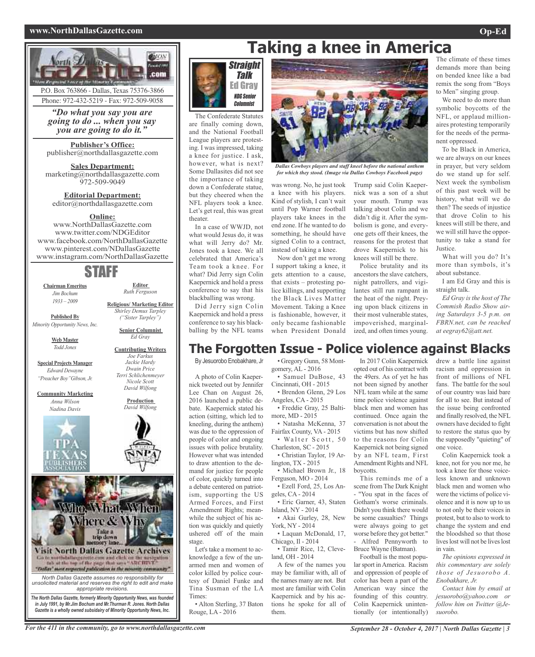### **www.NorthDallasGazette.com Op-Ed**



P.O. Box 763866 - Dallas, Texas 75376-3866 Phone: 972-432-5219 - Fax: 972-509-9058

*"Do what you say you are going to do ... when you say you are going to do it."*

**Publisher's Office:** publisher@northdallasgazette.com

**Sales Department:** marketing@northdallasgazette.com 972-509-9049

**Editorial Department:** editor@northdallasgazette.com

### **Online:**

www.NorthDallasGazette.com www.twitter.com/NDGEditor www.facebook.com/NorthDallasGazette www.pinterest.com/NDallasGazette www.instagram.com/NorthDallasGazette

### STAFF

**Chairman Emeritus** *Jim Bochum*

**Editor** *Ruth Ferguson*

**Religious/ Marketing Editor** *Shirley Demus Tarpley ("Sister Tarpley")* **Senior Columnist** *Ed Gray* **Contributing Writers**

*1933 – 2009*

**Published By** *Minority Opportunity News, Inc.*

> **Web Master** *Todd Jones*

**Special Projects Manager** *Edward Dewayne "Preacher Boy"Gibson, Jr.*

**Community Marketing** *Anna Wilson Nadina Davis*



*Joe Farkus Jackie Hardy Dwain Price Terri Schlichenmeyer Nicole Scott David Wilfong*

> **Production** *David Wilfong*





The Confederate Statutes are finally coming down, and the National Football League players are protesting. I was impressed, taking a knee for justice. I ask, however, what is next? Some Dallasites did not see the importance of taking down a Confederate statue, but they cheered when the NFL players took a knee. Let's get real, this was great theater.

In a case of WWJD, not what would Jesus do, it was what will Jerry do? Mr. Jones took a knee. We all celebrated that America's Team took a knee. For what? Did Jerry sign Colin Kaepernick and hold a press conference to say that his blackballing was wrong.

Did Jerry sign Colin Kaepernick and hold a press conference to say his blackballing by the NFL teams



*Dallas Cowboys players and staff kneel before the national anthem for which they stood. (Image via Dallas Cowboys Facebook page)*

a knee with his players. Kind of stylish, I can't wait until Pop Warner football players take knees in the end zone. If he wanted to do something, he should have signed Colin to a contract, instead of taking a knee.

Now don't get me wrong I support taking a knee, it gets attention to a cause, that exists – protesting police killings, and supporting the Black Lives Matter Movement. Taking a Knee is fashionable, however, it only became fashionable when President Donald

was wrong. No, he just took Trump said Colin Kaepernick was a son of a shut your mouth. Trump was talking about Colin and we didn't dig it. After the symbolism is gone, and everyone gets off their knees, the reasons for the protest that drove Kaepernick to his knees will still be there.

Police brutality and its ancestors the slave catchers, night patrollers, and vigilantes still run rampant in the heat of the night. Preying upon black citizens in their most vulnerable states, impoverished, marginalized, and often times young.

The climate of these times demands more than being on bended knee like a bad remix the song from "Boys to Men" singing group. **Taking a knee in America**

We need to do more than symbolic boycotts of the NFL, or applaud millionaires protesting temporarily for the needs of the permanent oppressed.

To be Black in America, we are always on our knees in prayer, but very seldom do we stand up for self. Next week the symbolism of this past week will be history, what will we do then? The seeds of injustice that drove Colin to his knees will still be there, and we will still have the opportunity to take a stand for **Justice** 

What will you do? It's more than symbols, it's about substance.

I am Ed Gray and this is straight talk.

*Ed Gray is the host of The Commish Radio Show airing Saturdays 3-5 p.m. on FBRN.net, can be reached at eegray62@att.net.*

### **The Forgotten Issue - Police violence against Blacks**

By Jesuorobo Enobakhare, Jr

A photo of Colin Kaepernick tweeted out by Jennifer Lee Chan on August 26, 2016 launched a public debate. Kaepernick stated his action (sitting, which led to kneeling, during the anthem) was due to the oppression of people of color and ongoing issues with police brutality. However what was intended to draw attention to the demand for justice for people of color, quickly turned into a debate centered on patriotism, supporting the US Armed Forces, and First Amendment Rights; meanwhile the subject of his action was quickly and quietly ushered off of the main stage.

Let's take a moment to acknowledge a few of the unarmed men and women of color killed by police courtesy of Daniel Funke and Tina Susman of the LA Times:

• Alton Sterling, 37 Baton Rouge, LA - 2016

• Gregory Gunn, 58 Montgomery, AL - 2016 • Samuel DuBose, 43 Cincinnati, OH - 2015

• Brendon Glenn, 29 Los Angeles, CA - 2015

• Freddie Gray, 25 Baltimore, MD - 2015 • Natasha McKenna, 37

Fairfax County, VA - 2015 • Walter Scott, 50 Charleston, SC - 2015

• Christian Taylor, 19 Arlington, TX - 2015

• Michael Brown Jr., 18 Ferguson, MO - 2014 • Ezell Ford, 25, Los An-

geles, CA - 2014 • Eric Garner, 43, Staten

Island, NY - 2014 • Akai Gurley, 28, New

York, NY - 2014 • Laquan McDonald, 17,

Chicago, Il - 2014 • Tamir Rice, 12, Cleveland, OH - 2014

A few of the names you may be familiar with, all of the names many are not. But most are familiar with Colin Kaepernick and by his actions he spoke for all of them.

In 2017 Colin Kaepernick opted out of his contract with the 49ers. As of yet he has not been signed by another NFL team while at the same time police violence against black men and women has continued. Once again the conversation is not about the victims but has now shifted to the reasons for Colin Kaepernick not being signed by an NFL team, First Amendment Rights and NFL boycotts.

This reminds me of a scene from The Dark Knight - "You spat in the faces of Gotham's worse criminals. Didn't you think there would be some casualties? Things were always going to get worse before they got better." - Alfred Pennyworth to Bruce Wayne (Batman).

Football is the most popularsport inAmerica. Racism and oppression of people of color has been a part of the American way since the founding of this country. Colin Kaepernick unintentionally (or intentionally)

drew a battle line against racism and oppression in front of millions of NFL fans. The battle for the soul of our country was laid bare for all to see. But instead of the issue being confronted and finally resolved, the NFL owners have decided to fight to restore the status quo by the supposedly "quieting" of one voice.

Colin Kaepernick took a knee, not for you nor me, he took a knee for those voiceless known and unknown black men and women who were the victims of police violence and it is now up to us to not only be their voices in protest, but to also to work to change the system and end the bloodshed so that those lives lost will not be lives lost in vain.

*The opinions expressed in this commentary are solely those of Jesuorobo A. Enobakhare, Jr.*

*Contact him by email at jesuorobo@yahoo.com or follow him on Twitter @Jesuorobo.*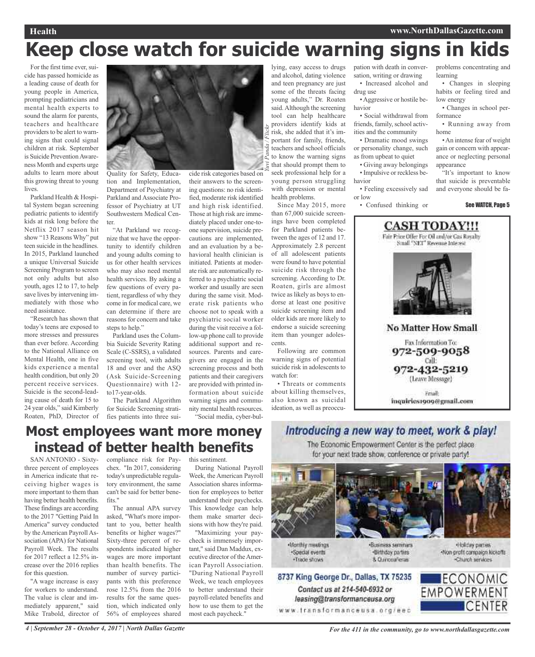### **Health www.NorthDallasGazette.com**

# **Keep close watch for suicide warning signs in kids**

*Yuvi Panda / Flickr*

For the first time ever, suicide has passed homicide as a leading cause of death for young people in America, prompting pediatricians and mental health experts to sound the alarm for parents, teachers and healthcare providers to be alert to warning signs that could signal children at risk. September is Suicide PreventionAwareness Month and experts urge adults to learn more about this growing threat to young lives.

Parkland Health & Hospital System began screening pediatric patients to identify kids at risk long before the Netflix 2017 season hit show "13 Reasons Why" put teen suicide in the headlines. In 2015, Parkland launched a unique Universal Suicide Screening Program to screen not only adults but also youth, ages 12 to 17, to help save lives by intervening immediately with those who need assistance.

"Research has shown that today's teens are exposed to more stresses and pressures than ever before. According to the National Alliance on Mental Health, one in five kids experience a mental health condition, but only 20 percent receive services. Suicide is the second-leading cause of death for 15 to 24 year olds," said Kimberly Roaten, PhD, Director of



tion and Implementation, Department of Psychiatry at Parkland and Associate Professor of Psychiatry at UT Southwestern Medical Center.

"At Parkland we recognize that we have the opportunity to identify children and young adults coming to us for other health services who may also need mental health services. By asking a few questions of every patient, regardless of why they come in for medical care, we can determine if there are reasons for concern and take steps to help."

Parkland uses the Columbia Suicide Severity Rating Scale (C-SSRS), a validated screening tool, with adults 18 and over and the ASQ (Ask Suicide-Screening Questionnaire) with 12 to17-year-olds.

The Parkland Algorithm for Suicide Screening stratifies patients into three sui-

their answers to the screening questions: no risk identified, moderate risk identified and high risk identified. Those at high risk are immediately placed under one-toone supervision, suicide precautions are implemented, and an evaluation by a behavioral health clinician is initiated. Patients at moderate risk are automatically referred to a psychiatric social worker and usually are seen during the same visit. Moderate risk patients who choose not to speak with a psychiatric social worker during the visit receive a follow-up phone call to provide additional support and resources. Parents and caregivers are engaged in the screening process and both patients and their caregivers are provided with printed information about suicide warning signs and community mental health resources. "Social media, cyber-bul-

lying, easy access to drugs and alcohol, dating violence and teen pregnancy are just some of the threats facing young adults," Dr. Roaten said.Although the screening tool can help healthcare providers identify kids at risk, she added that it's important for family, friends, teachers and school officials to know the warning signs that should prompt them to seek professional help for a young person struggling with depression or mental health problems.

Since May 2015, more than 67,000 suicide screenings have been completed for Parkland patients between the ages of 12 and 17. Approximately 2.8 percent of all adolescent patients were found to have potential suicide risk through the screening. According to Dr. Roaten, girls are almost twice as likely as boys to endorse at least one positive suicide screening item and older kids are more likely to endorse a suicide screening item than younger adolescents.

Following are common warning signs of potential suicide risk in adolescents to watch for:

• Threats or comments about killing themselves, also known as suicidal ideation, as well as preoccupation with death in conversation, writing or drawing • Increased alcohol and drug use

•Aggressive or hostile behavior

• Social withdrawal from friends, family, school activities and the community

• Dramatic mood swings or personality change, such

as from upbeat to quiet • Giving away belongings

• Impulsive or reckless be-

havior • Feeling excessively sad

or low • Confused thinking or problems concentrating and learning

• Changes in sleeping habits or feeling tired and low energy

• Changes in school performance

• Running away from home

•An intense fear of weight gain or concern with appearance or neglecting personal appearance

"It's important to know that suicide is preventable and everyone should be fa-

See WATCH, Page 5



### **Most employees want more money instead of better health benefits**

SAN ANTONIO - Sixtythree percent of employees in America indicate that receiving higher wages is more important to them than having better health benefits. These findings are according to the 2017 "Getting Paid In America" survey conducted by the American Payroll Association (APA) for National Payroll Week. The results for 2017 reflect a 12.5% increase over the 2016 replies for this question.

"A wage increase is easy for workers to understand. The value is clear and immediately apparent," said Mike Trabold, director of

compliance risk for Paychex. "In 2017, considering today's unpredictable regulatory environment, the same can't be said for better benefits."

The annual APA survey asked, "What's more important to you, better health benefits or higher wages?" Sixty-three percent of respondents indicated higher wages are more important than health benefits. The number of survey participants with this preference rose 12.5% from the 2016 results for the same question, which indicated only 56% of employees shared

this sentiment.

During National Payroll Week, the American Payroll Association shares information for employees to better understand their paychecks. This knowledge can help them make smarter decisions with how they're paid.

"Maximizing your paycheck is immensely important," said Dan Maddux, executive director of theAmerican Payroll Association. "During National Payroll Week, we teach employees to better understand their payroll-related benefits and how to use them to get the most each paycheck."

### Introducing a new way to meet, work & play! The Economic Empowerment Center is the perfect place for your next trade show, conference or private party!



Monthly meetings ·Special events ·Trade shows

Contact us at 214-540-6932 or

leasing@transformanceusa.org



·Birthday parties

8. Curicea Tenas

Holday parties -Non-profit compaign kickoffs Charch services

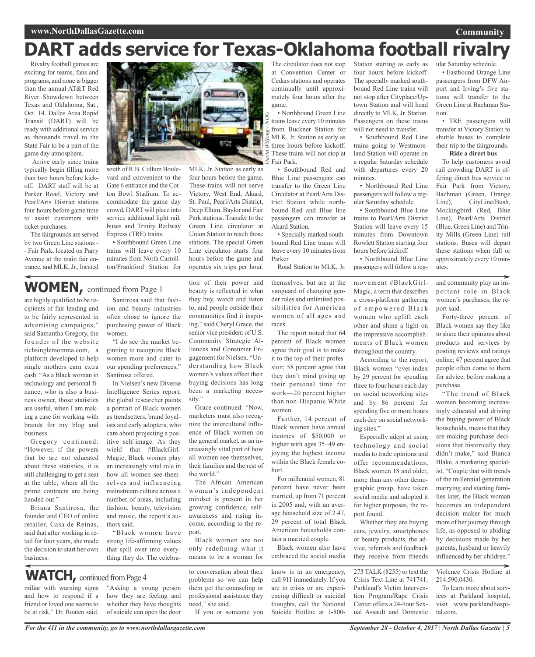# **DART adds service for Texas-Oklahoma football rivalry**

Rivalry football games are exciting for teams, fans and programs, and none is bigger than the annual AT&T Red River Showdown between Texas and Oklahoma, Sat., Oct. 14. Dallas Area Rapid Transit (DART) will be ready with additional service as thousands travel to the State Fair to be a part of the game day atmosphere.

Arrive early since trains typically begin filling more than two hours before kickoff. DART staff will be at Parker Road, Victory and Pearl/Arts District stations four hours before game time to assist customers with ticket purchases.

The fairgrounds are served by two Green Line stations - - Fair Park, located on Parry Avenue at the main fair entrance, and MLK,Jr., located



four hours before the game. These trains will not serve Victory, West End, Akard, St. Paul, Pearl/Arts District, Deep Ellum, Baylor and Fair Park stations. Transfer to the Green Line circulator at Union Station to reach those stations. The special Green Line circulator starts four hours before the game and operates six trips per hour.

tion of their power and beauty is reflected in what they buy, watch and listen to, and people outside their communities find it inspiring," said Cheryl Grace, the senior vice president of U.S. Community Strategic Alliances and Consumer Engagement for Nielsen. "Understanding how Black women's values affect their buying decisions has long been a marketing neces-

Grace continued: "Now, marketers must also recognize the intercultural influence of Black women on the general market, as an increasingly vital part of how all women see themselves, their families and the rest of

The African American woman's independent mindset is present in her growing confidence, selfawareness and rising income, according to the re-

sity."

the world."

port.

south of R.B. Cullum Boulevard and convenient to the Gate 6 entrance and the Cotton Bowl Stadium. To accommodate the game day crowd, DART will place into service additional light rail, buses and Trinity Railway Express (TRE) trains:

• Southbound Green Line trains will leave every 10 minutes from North Carrollton/Frankford Station for

## **WOMEN,** continued from Page <sup>1</sup>

are highly qualified to be recipients of fair lending and to be fairly represented in advertising campaigns," said Samantha Gregory, the founder of the website richsinglemomma.com, a platform developed to help single mothers earn extra cash. "As a Black woman in technology and personal finance, who is also a business owner, those statistics are useful, when I am making a case for working with brands for my blog and business.

Gregory continued: "However, if the powers that be are not educated about these statistics, it is still challenging to get a seat at the table, where all the prime contracts are being handed out."

Briana Santirosa, the founder and CEO of online retailer, Casa de Reinas, said that after working in retail for four years, she made the decision to start her own business.

Santirosa said that fashion and beauty industries often chose to ignore the purchasing power of Black women.

"I do see the market beginning to recognize Black women more and cater to our spending preferences," Santirosa offered.

In Nielsen's new Diverse Intelligence Series report, the global researcher paints a portrait of Black women as trendsetters, brand loyalists and early adopters, who care about projecting a positive self-image. As they wield that #BlackGirl-Magic, Black women play an increasingly vital role in how all women see themselves and influencing mainstream culture across a number of areas, including fashion, beauty, television and music, the report's authors said.

"Black women have strong life-affirming values that spill over into everything they do. The celebra-

WATCH, continued from Page 4

miliar with warning signs and how to respond if a friend or loved one seems to be at risk," Dr. Roaten said.

"Asking a young person how they are feeling and whether they have thoughts of suicide can open the door to conversation about their problems so we can help them get the counseling or professional assistance they need," she said.

Black women are not only redefining what it means to be a woman for

If you or someone you

The circulator does not stop at Convention Center or Cedars stations and operates continually until approximately four hours after the game.

• Northbound Green Line trainsleave every 10 minutes from Buckner Station for MLK, Jr. Station as early as three hours before kickoff. **Example 13**<br>  $\frac{1}{2}$  These trains will not stop at<br>  $\frac{1}{2}$  Fair Park. Fair Park. *Wilfong / ND G*

• Southbound Red and Blue Line passengers can transfer to the Green Line Circulator at Pearl/Arts District Station while northbound Red and Blue line passengers can transfer at Akard Station.

• Specially marked southbound Red Line trains will leave every 10 minutes from Parker

Road Station to MLK, Jr.

themselves, but are at the vanguard of changing gender roles and unlimited possibilities for American women of all ages and races.

The report noted that 64 percent of Black women agree their goal is to make it to the top of their profession; 58 percent agree that they don't mind giving up their personal time for work—20 percent higher than non-Hispanic White women.

Further, 14 percent of Black women have annual incomes of \$50,000 or higher with ages 35–49 enjoying the highest income within the Black female cohort.

For millennial women, 81 percent have never been married, up from 71 percent in 2005 and, with an average household size of 2.47, 29 percent of total Black American households contain a married couple.

Black women also have embraced the social media

know is in an emergency, call 911 immediately. If you are in crisis or are experiencing difficult or suicidal thoughts, call the National Suicide Hotline at 1-800Station starting as early as four hours before kickoff. The specially marked southbound Red Line trains will not stop after Cityplace/Uptown Station and will head directly to MLK, Jr. Station. Passengers on these trains will not need to transfer.

• Southbound Red Line trains going to Westmoreland Station will operate on a regular Saturday schedule with departures every 20 minutes.

• Northbound Red Line passengers will follow a regular Saturday schedule.

• Southbound Blue Line trains to Pearl/Arts District Station will leave every 15 minutes from Downtown Rowlett Station starting four hours before kickoff.

• Northbound Blue Line passengers will follow a reg-

movement #BlackGirl-Magic, a term that describes a cross-platform gathering of empowered Black women who uplift each other and shine a light on the impressive accomplishments of Black women throughout the country.

According to the report, Black women "over-index by 29 percent for spending three to four hours each day on social networking sites and by 86 percent for spending five or more hours each day on social networking sites."

Especially adept at using technology and social media to trade opinions and offer recommendations, Black women 18 and older, more than any other demographic group, have taken social media and adopted it for higher purposes, the report found.

Whether they are buying cars, jewelry, smartphones or beauty products, the advice, referrals and feedback they receive from friends

273 TALK (8255) or text the Crisis Text Line at 741741. Parkland's Victim Intervention Program/Rape Crisis Center offers a 24-hour Sexual Assault and Domestic

ular Saturday schedule. • Eastbound Orange Line passengers from DFW Airport and Irving's five stations will transfer to the Green Line at Bachman Station.

**Community**

• TRE passengers will transfer at Victory Station to shuttle buses to complete their trip to the fairgrounds.

#### **Ride a direct bus**

To help customers avoid rail crowding DART is offering direct bus service to Fair Park from Victory, Bachman (Green, Orange Line), CityLine/Bush, Mockingbird (Red, Blue Line), Pearl/Arts District (Blue, Green Line) and Trinity Mills (Green Line) rail stations. Buses will depart these stations when full or approximately every 10 minutes.

and community play an important role in Black women's purchases, the report said.

Forty-three percent of Black women say they like to share their opinions about products and services by posting reviews and ratings online; 47 percent agree that people often come to them for advice, before making a purchase.

"The trend of Black women becoming increasingly educated and driving the buying power of Black households, means that they are making purchase decisions that historically they didn't make," said Bianca Blake, a marketing specialist. "Couple that with trends of the millennial generation marrying and starting families later, the Black woman becomes an independent decision maker for much more of her journey through life, as opposed to abiding by decisions made by her parents, husband or heavily influenced by her children."

Violence Crisis Hotline at 214.590.0430.

To learn more about services at Parkland hospital, visit www.parklandhospital.com.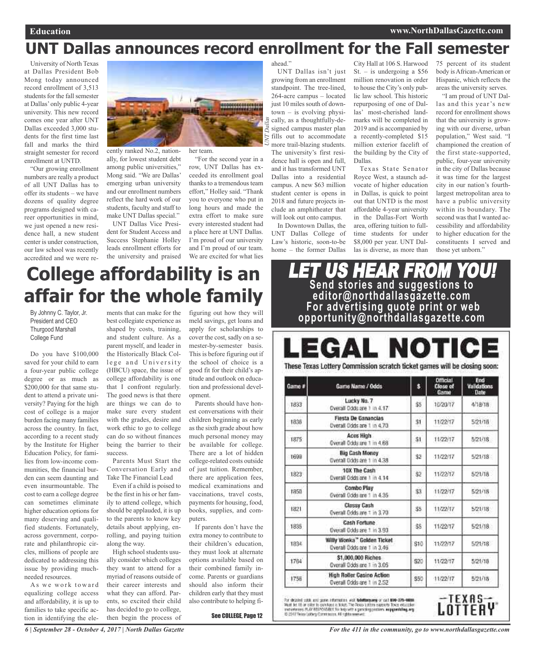## **UNT Dallas announces record enrollment for the Fall semester**

*UNT*

*Dallas*

University of North Texas at Dallas President Bob Mong today announced record enrollment of 3,513 students for the fall semester at Dallas'only public 4-year university. This new record comes one year after UNT Dallas exceeded 3,000 students for the first time last fall and marks the third straight semester for record enrollment at UNTD.

"Our growing enrollment numbers are really a product of all UNT Dallas has to offer its students – we have dozens of quality degree programs designed with career opportunities in mind, we just opened a new residence hall, a new student center is under construction, our law school was recently accredited and we were re-



cently ranked No.2, nationally, for lowest student debt among public universities," Mong said. "We are Dallas' emerging urban university and our enrollment numbers reflect the hard work of our students, faculty and staff to make UNT Dallas special."

UNT Dallas Vice President for Student Access and Success Stephanie Holley leads enrollment efforts for the university and praised her team.

"For the second year in a row, UNT Dallas has exceeded its enrollment goal thanks to a tremendous team effort," Holley said. "Thank you to everyone who put in long hours and made the extra effort to make sure every interested student had a place here at UNT Dallas. I'm proud of our university and I'm proud of our team. We are excited for what lies

ahead."

UNT Dallas isn't just growing from an enrollment standpoint. The tree-lined, 264-acre campus – located just 10 miles south of downtown – is evolving physically, as a thoughtfully-designed campus master plan fills out to accommodate more trail-blazing students. The university's first residence hall is open and full, and it has transformed UNT Dallas into a residential campus. A new \$63 million student center is opens in 2018 and future projects include an amphitheater that will look out onto campus.

In Downtown Dallas, the UNT Dallas College of Law's historic, soon-to-be home – the former Dallas

City Hall at 106 S. Harwood St. – is undergoing a  $$56$ million renovation in order to house the City's only public law school. This historic repurposing of one of Dallas' most-cherished landmarks will be completed in 2019 and is accompanied by a recently-completed \$15 million exterior facelift of the building by the City of Dallas.

Texas State Senator Royce West, a staunch advocate of higher education in Dallas, is quick to point out that UNTD is the most affordable 4-year university in the Dallas-Fort Worth area, offering tuition to fulltime students for under \$8,000 per year. UNT Dallas is diverse, as more than

75 percent of its student body isAfrican-American or Hispanic, which reflects the areas the university serves.

"I am proud of UNT Dallas and this year's new record for enrollment shows that the university is growing with our diverse, urban population," West said. "I championed the creation of the first state-supported, public, four-year university in the city of Dallas because it was time for the largest city in our nation's fourthlargest metropolitan area to have a public university within its boundary. The second was that I wanted accessibility and affordability to higher education for the constituents I served and those yet unborn."

## **College affordability is an affair for the whole family**

By Johnny C. Taylor, Jr. President and CEO Thurgood Marshall College Fund

Do you have \$100,000 saved for your child to earn a four-year public college degree or as much as \$200,000 for that same student to attend a private university? Paying for the high cost of college is a major burden facing many families across the country. In fact, according to a recent study by the Institute for Higher Education Policy, for families from low-income communities, the financial burden can seem daunting and even insurmountable. The cost to earn a college degree can sometimes eliminate higher education options for many deserving and qualified students. Fortunately, across government, corporate and philanthropic circles, millions of people are dedicated to addressing this issue by providing muchneeded resources.

As we work toward equalizing college access and affordability, it is up to families to take specific action in identifying the ele-

best collegiate experience as shaped by costs, training, and student culture. As a parent myself, and leader in the Historically Black College and University (HBCU) space, the issue of college affordability is one that I confront regularly. The good news is that there are things we can do to make sure every student with the grades, desire and work ethic to go to college can do so without finances being the barrier to their success.

Parents Must Start the Conversation Early and Take The Financial Lead

Even if a child is poised to be the first in his or her family to attend college, which should be applauded, it is up to the parents to know key details about applying, enrolling, and paying tuition along the way.

High school students usually consider which colleges they want to attend for a myriad of reasons outside of their career interests and what they can afford. Parents, so excited their child has decided to go to college, then begin the process of

ments that can make for the figuring out how they will meld savings, get loans and apply for scholarships to cover the cost, sadly on a semester-by-semester basis. This is before figuring out if the school of choice is a good fit for their child's aptitude and outlook on education and professional development.

> Parents should have honest conversations with their children beginning as early as the sixth grade about how much personal money may be available for college. There are a lot of hidden college-related costs outside of just tuition. Remember, there are application fees, medical examinations and vaccinations, travel costs, payments for housing, food, books, supplies, and computers.

> If parents don't have the extra money to contribute to their children's education, they must look at alternate options available based on their combined family income. Parents or guardians should also inform their children early that they must also contribute to helping fi-

> > See COLLEGE, Page 12

LET US HEAR FROM YOU! **Send stories and suggestions to editor@northdallasgazette.com For advertising quote print or web opportunity@northdallasgazette.com**

### L NOTICE GAI

These Texas Lottery Commission scratch ticket games will be closing soon:

| Game # | Game Name / Odds                                          | \$   | <b>Official</b><br>Close of<br>Game | End<br>Validations<br>Date |
|--------|-----------------------------------------------------------|------|-------------------------------------|----------------------------|
| 1833   | Lucky No. 7<br>Overall Odds are 1 in 4.17                 | \$5  | 10/20/17                            | 4/18/18                    |
| 1836   | <b>Fiesta De Ganancias</b><br>Overall Odds are 1 in 4.70. | \$1  | 11/22/17                            | 5/21/18                    |
| 1875   | Aces High<br>Overall Odds are 1 in 4.68                   | \$î  | 11/22/17                            | 5/21/18                    |
| 1699   | <b>Big Cash Money</b><br>Overall Dods are 1 in 4.38       | \$2  | 11/22/17                            | 5/21/18                    |
| 1823   | 10X The Cash<br>Overall Odds are 1 in 4.14                | \$2  | 11/22/17                            | 5/21/18                    |
| 1850   | Combo Play<br>Overall Ocida are 1 in 4.35.                | \$3. | 11/22/17                            | 5/21/18                    |
| 1821   | Classy Cash<br>Overall Odds are 1 in 3.70.                | 35   | 11/22/17                            | 5/21/18                    |
| 1835   | Cash Fortune<br>Overall Ockls are 1 in 3.93.              | \$5  | 11/22/17                            | 5/21/18                    |
| 1834   | Willy Wonks" Golden Ticket<br>Overall Odds are 1 in 3.46. | \$10 | 11/22/17                            | 5/21/18                    |
| 1764   | \$1,000,000 Riches<br>Cverall Odds are 1 in 3.05          | \$20 | 11/22/17                            | 5/21/18                    |
| 1756   | High Roller Casino Action<br>Overall Odds are 1 in 2.52   | \$50 | 11/22/17                            | 5/21/18                    |

For detailed subit and game information with **fabilitary any** or out **sue-175-ease**.<br>Next let 16 or sales to parchaut a bough The Fours battery exposed from education<br>methodogenes FLAZ ASSPONSERY. For lesp with a gambling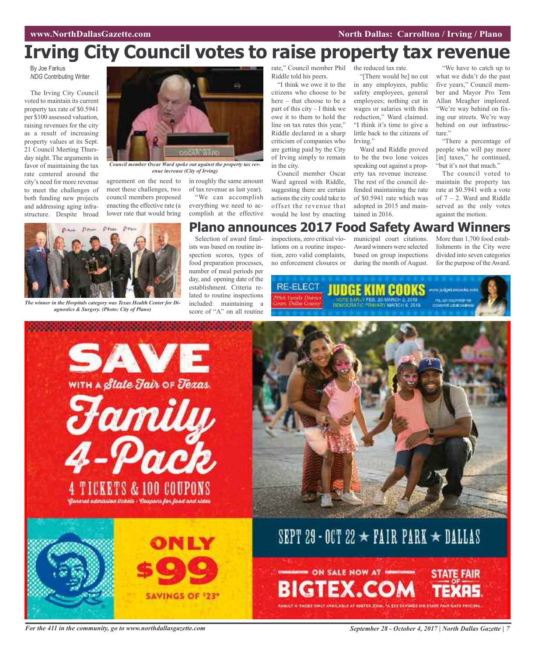### **WAWRIGHT WAS SEXUAL SEXUAL SEXUAL SEXUAL SEXUAL SEXUAL SEXUAL SEXUAL SEXUAL SEXUAL SEXUAL SEXUAL SEXUAL SEXUAL SE**

## **Irving City Council votes to raise property tax revenue**

By Joe Farkus *NDG* Contributing Writer

The Irving City Council voted to maintain its current property tax rate of \$0.5941 per \$100 assessed valuation, raising revenues for the city as a result of increasing property values at its Sept. 21 Council Meeting Thursday night. The arguments in favor of maintaining the tax rate centered around the city's need for more revenue to meet the challenges of both funding new projects and addressing aging infrastructure. Despite broad



*Council member Oscar Ward spoke out against the property tax revenue increase (City of Irving)*

agreement on the need to meet these challenges, two council members proposed enacting the effective rate (a lower rate that would bring

in roughly the same amount of tax revenue as last year). "We can accomplish everything we need to accomplish at the effective

rate," Council member Phil the reduced tax rate. Riddle told his peers.

"I think we owe it to the citizens who choose to be here – that choose to be a part of this city – I think we owe it to them to hold the line on tax rates this year," Riddle declared in a sharp criticism of companies who are getting paid by the City of Irving simply to remain in the city.

Council member Oscar Ward agreed with Riddle, suggesting there are certain actions the city could take to offset the revenue that would be lost by enacting

"[There would be] no cut in any employees, public safety employees, general employees; nothing cut in wages or salaries with this reduction," Ward claimed. "I think it's time to give a little back to the citizens of Irving."

Ward and Riddle proved to be the two lone voices speaking out against a property tax revenue increase. The rest of the council defended maintaining the rate of \$0.5941 rate which was adopted in 2015 and maintained in 2016.

"We have to catch up to what we didn't do the past five years," Council member and Mayor Pro Tem Allan Meagher implored. "We're way behind on fixing our streets. We're way behind on our infrastructure."

"There a percentage of people who will pay more [in] taxes," he continued, "but it's not that much."

The council voted to maintain the property tax rate at \$0.5941 with a vote of 7 – 2. Ward and Riddle served as the only votes against the motion.



*The winner in the Hospitals category was Texas Health Center for Diagnostics & Surgery. (Photo: City of Plano)*

Selection of award finalists was based on routine inspection scores, types of food preparation processes, number of meal periods per day, and opening date of the establishment. Criteria reno enforcement closures or

lated to routine inspections included: maintaining a

inspections, zero critical violations on a routine inspection, zero valid complaints, municipal court citations. Award winners were selected **Plano announces 2017 Food Safety Award Winners**

based on group inspections during the month of August.

More than 1,700 food establishments in the City were divided into seven categories for the purpose of theAward.

**RE-ELECT** JUDGE KIM COOKS www.dgeemicooku.com SSelt ramife Dinner oort: Dathe Louise



For the 411 in the community, go to www.northdallasgazette.com September 28 - October 4, 2017 | North Dallas Gazette | 7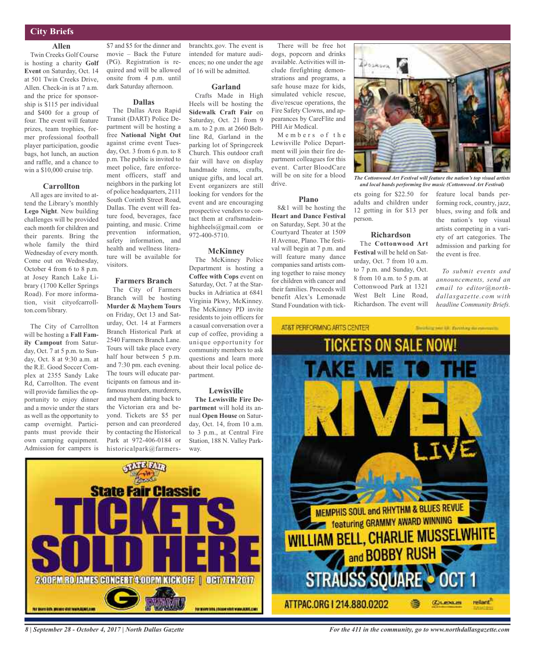### **City Briefs**

### **Allen**

Twin Creeks Golf Course is hosting a charity **Golf Event** on Saturday, Oct. 14 at 501 Twin Creeks Drive, Allen. Check-in is at 7 a.m. and the price for sponsorship is \$115 per individual and \$400 for a group of four. The event will feature prizes, team trophies, former professional football player participation, goodie bags, hot lunch, an auction and raffle, and a chance to win a \$10,000 cruise trip.

#### **Carrollton**

All ages are invited to attend the Library's monthly **Lego Night**. New building challenges will be provided each month for children and their parents. Bring the whole family the third Wednesday of every month. Come out on Wednesday, October 4 from 6 to 8 p.m. at Josey Ranch Lake Library (1700 Keller Springs Road). For more information, visit cityofcarrollton.com/library.

The City of Carrollton will be hosting a **Fall Family Campout** from Saturday, Oct. 7 at 5 p.m. to Sunday, Oct. 8 at 9:30 a.m. at the R.E. Good Soccer Complex at 2355 Sandy Lake Rd, Carrollton. The event will provide families the opportunity to enjoy dinner and a movie under the stars as well as the opportunity to camp overnight. Participants must provide their own camping equipment. Admission for campers is \$7 and \$5 for the dinner and movie – Back the Future (PG). Registration is required and will be allowed onsite from 4 p.m. until dark Saturday afternoon.

#### **Dallas**

The Dallas Area Rapid Transit (DART) Police Department will be hosting a free **National Night Out** against crime event Tuesday, Oct. 3 from 6 p.m. to 8 p.m. The public is invited to meet police, fare enforcement officers, staff and neighbors in the parking lot of police headquarters, 2111 South Corinth Street Road, Dallas. The event will feature food, beverages, face painting, and music. Crime prevention information, safety information, and health and wellness literature will be available for visitors.

### **Farmers Branch**

The City of Farmers Branch will be hosting **Murder & Mayhem Tours** on Friday, Oct 13 and Saturday, Oct. 14 at Farmers Branch Historical Park at 2540 Farmers Branch Lane. Tours will take place every half hour between 5 p.m. and 7:30 pm. each evening. The tours will educate participants on famous and infamous murders, murderers, and mayhem dating back to the Victorian era and beyond. Tickets are \$5 per person and can preordered by contacting the Historical Park at 972-406-0184 or historicalpark@farmersbranchtx.gov. The event is intended for mature audiences; no one under the age of 16 will be admitted.

#### **Garland**

Crafts Made in High Heels will be hosting the **Sidewalk Craft Fair** on Saturday, Oct. 21 from 9 a.m. to 2 p.m. at 2660 Beltline Rd, Garland in the parking lot of Springcreek Church. This outdoor craft fair will have on display handmade items, crafts, unique gifts, and local art. Event organizers are still looking for vendors for the event and are encouraging prospective vendors to contact them at craftsmadeinhighheels@gmail.com or 972-400-5710.

#### **McKinney**

The McKinney Police Department is hosting a **Coffee with Cops** event on Saturday, Oct. 7 at the Starbucks in Adriatica at 6841 Virginia Pkwy, McKinney. The McKinney PD invite residents to join officers for a casual conversation over a cup of coffee, providing a unique opportunity for community members to ask questions and learn more about their local police department.

### **Lewisville**

**The Lewisville Fire Department** will hold its annual **Open House** on Saturday, Oct. 14, from 10 a.m. to 3 p.m., at Central Fire Station, 188 N. Valley Parkway.

There will be free hot dogs, popcorn and drinks available. Activities will include firefighting demonstrations and programs, a safe house maze for kids, simulated vehicle rescue, dive/rescue operations, the Fire Safety Clowns, and appearances by CareFlite and PHI Air Medical.

Members of the Lewisville Police Department will join their fire department colleagues for this event. Carter BloodCare will be on site for a blood drive.

#### **Plano**

8&1 will be hosting the **Heart and Dance Festival** on Saturday, Sept. 30 at the Courtyard Theater at 1509 H Avenue, Plano. The festival will begin at 7 p.m. and will feature many dance companies sand artists coming together to raise money for children with cancer and their families. Proceeds will benefit Alex's Lemonade Stand Foundation with tick-

AT&T PERFORMING ARTS CENTER



*The Cottonwood Art Festival will feature the nation's top visual artists and local bands performing live music (Cottonwood Art Festival)*

adults and children under 12 getting in for \$13 per person.

### **Richardson**

The **Cottonwood Art Festival** will be held on Saturday, Oct. 7 from 10 a.m. to 7 p.m. and Sunday, Oct. 8 from 10 a.m. to 5 p.m. at Cottonwood Park at 1321 West Belt Line Road, Richardson. The event will feature local bands performing rock, country, jazz, blues, swing and folk and the nation's top visual artists competing in a variety of art categories. The admission and parking for the event is free.

*To submit events and announcements, send an email to editor@northdallasgazette.com with headline Community Briefs.*

of new kill). Recentling me commo-







*8 | September 28 - October 4, 2017 | North Dallas Gazette*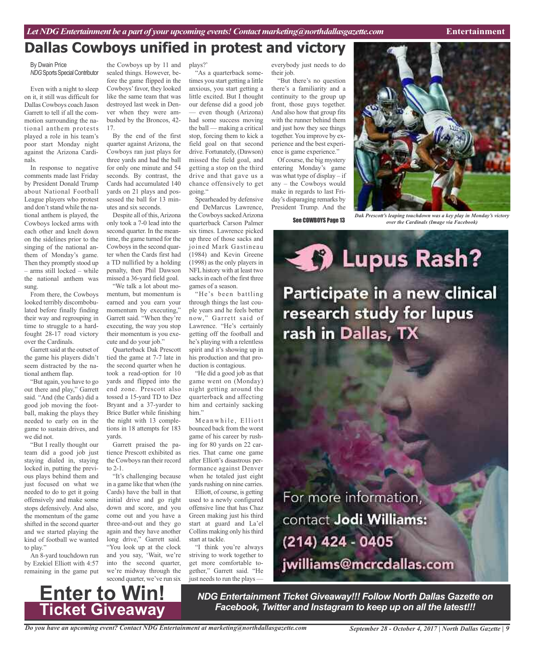## **Dallas Cowboys unified in protest and victory**

#### By Dwain Price **NDG** Sports Special Contributor

Even with a night to sleep on it, it still was difficult for Dallas Cowboys coach Jason Garrett to tell if all the commotion surrounding the national anthem protests played a role in his team's poor start Monday night against the Arizona Cardinals.

In response to negative comments made last Friday by President Donald Trump about National Football League players who protest and don't stand while the national anthem is played, the Cowboys locked arms with each other and knelt down on the sidelines prior to the singing of the national anthem of Monday's game. Then they promptly stood up – arms still locked – while the national anthem was sung.

From there, the Cowboys looked terribly discombobulated before finally finding their way and regrouping in time to struggle to a hardfought 28-17 road victory over the Cardinals.

Garrett said at the outset of the game his players didn't seem distracted by the national anthem flap.

"But again, you have to go out there and play," Garrett said. "And (the Cards) did a good job moving the football, making the plays they needed to early on in the game to sustain drives, and we did not.

"But I really thought our team did a good job just staying dialed in, staying locked in, putting the previous plays behind them and just focused on what we needed to do to get it going offensively and make some stops defensively. And also, the momentum of the game shifted in the second quarter and we started playing the kind of football we wanted to play."

An 8-yard touchdown run by Ezekiel Elliott with 4:57 remaining in the game put

the Cowboys up by 11 and sealed things. However, before the game flipped in the Cowboys'favor, they looked like the same team that was destroyed last week in Denver when they were ambushed by the Broncos, 42- 17.

By the end of the first quarter against Arizona, the Cowboys ran just plays for three yards and had the ball for only one minute and 54 seconds. By contrast, the Cards had accumulated 140 yards on 21 plays and possessed the ball for 13 minutes and six seconds.

Despite all of this, Arizona only took a 7-0 lead into the second quarter. In the meantime, the game turned for the Cowboys in the second quarter when the Cards first had a TD nullified by a holding penalty, then Phil Dawson missed a 36-yard field goal. "We talk a lot about mo-

mentum, but momentum is earned and you earn your momentum by executing," Garrett said. "When they're executing, the way you stop their momentum is you execute and do your job."

Quarterback Dak Prescott tied the game at 7-7 late in the second quarter when he took a read-option for 10 yards and flipped into the end zone. Prescott also tossed a 15-yard TD to Dez Bryant and a 37-yarder to Brice Butler while finishing the night with 13 completions in 18 attempts for 183 yards.

Garrett praised the patience Prescott exhibited as the Cowboys ran their record to 2-1.

"It's challenging because in a game like that when (the Cards) have the ball in that initial drive and go right down and score, and you come out and you have a three-and-out and they go again and they have another long drive," Garrett said. "You look up at the clock and you say, 'Wait, we're into the second quarter, we're midway through the second quarter, we've run six

plays?'

"As a quarterback sometimes you start getting a little anxious, you start getting a little excited. But I thought our defense did a good job — even though (Arizona) had some success moving the ball — making a critical stop, forcing them to kick a field goal on that second drive. Fortunately, (Dawson) missed the field goal, and getting a stop on the third drive and that gave us a chance offensively to get going."

Spearheaded by defensive end DeMarcus Lawrence, the Cowboys sacked Arizona quarterback Carson Palmer six times. Lawrence picked up three of those sacks and joined Mark Gastineau (1984) and Kevin Greene (1998) as the only players in NFLhistory with at least two sacks in each of the first three games of a season.

"He's been battling through things the last couple years and he feels better now," Garrett said of Lawrence. "He's certainly getting off the football and he's playing with a relentless spirit and it's showing up in his production and that production is contagious.

"He did a good job as that game went on (Monday) night getting around the quarterback and affecting him and certainly sacking him."

Meanwhile, Elliott bounced back from the worst game of his career by rushing for 80 yards on 22 carries. That came one game after Elliott's disastrous performance against Denver when he totaled just eight yards rushing on nine carries.

Elliott, of course, is getting used to a newly configured offensive line that has Chaz Green making just his third start at guard and La'el Collins making only histhird start at tackle.

"I think you're always striving to work together to get more comfortable together," Garrett said. "He just needs to run the plays -

everybody just needs to do their job.

"But there's no question there's a familiarity and a continuity to the group up front, those guys together. And also how that group fits with the runner behind them and just how they see things together.You improve by experience and the best experience is game experience."

Of course, the big mystery entering Monday's game was what type of display – if any – the Cowboys would make in regards to last Friday's disparaging remarks by President Trump. And the

See COWBOYS Page 13



*Dak Prescott's leaping touchdown was a key play in Monday's victory over the Cardinals (Image via Facebook)*

Participate in a new clinical research study for lupus rash in Dallas, TX

**Example 2 Second Lupus Rash?** 

For more information, contact Jodi Williams: (214) 424 - 0405

jwilliams@mcrcdallas.com

**Enter to Win! Ticket Giveaway**

*NDG Entertainment Ticket Giveaway!!! Follow North Dallas Gazette on Facebook, Twitter and Instagram to keep up on all the latest!!!*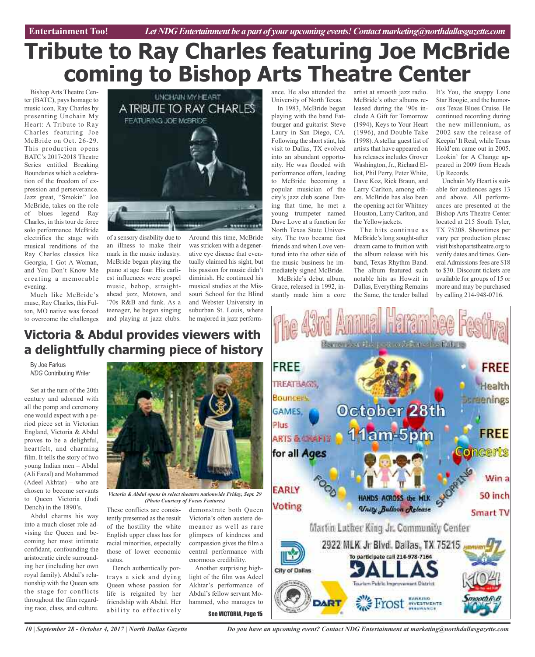# **Tribute to Ray Charles featuring Joe McBride coming to Bishop Arts Theatre Center**

Bishop Arts Theatre Center (BATC), pays homage to music icon, Ray Charles by presenting Unchain My Heart: A Tribute to Ray Charles featuring Joe McBride on Oct. 26-29. This production opens BATC's 2017-2018 Theatre Series entitled Breaking Boundaries which a celebration of the freedom of expression and perseverance. Jazz great, "Smokin" Joe McBride, takes on the role of blues legend Ray Charles, in this tour de force solo performance. McBride electrifies the stage with musical renditions of the Ray Charles classics like Georgia, I Got A Woman, and You Don't Know Me creating a memorable evening.

Much like McBride's muse, Ray Charles, this Fulton, MO native was forced to overcome the challenges



of a sensory disability due to an illness to make their mark in the music industry. McBride began playing the piano at age four. His earliest influences were gospel music, bebop, straightahead jazz, Motown, and '70s R&B and funk. As a teenager, he began singing and playing at jazz clubs.

Around this time, McBride was stricken with a degenerative eye disease that eventually claimed his sight, but his passion for music didn't diminish. He continued his musical studies at the Missouri School for the Blind and Webster University in suburban St. Louis, where he majored in jazz perform-

### **Victoria & Abdul provides viewers with a delightfully charming piece of history**

By Joe Farkus *NDG* Contributing Writer

Set at the turn of the 20th century and adorned with all the pomp and ceremony one would expect with a period piece set in Victorian England, Victoria & Abdul proves to be a delightful, heartfelt, and charming film. It tells the story of two young Indian men – Abdul (Ali Fazal) and Mohammed (Adeel Akhtar) – who are chosen to become servants to Queen Victoria (Judi Dench) in the 1890's.

Abdul charms his way into a much closer role advising the Queen and becoming her most intimate confidant, confounding the aristocratic circle surrounding her (including her own royal family). Abdul's relationship with the Queen sets the stage for conflicts throughout the film regarding race, class, and culture.



*Victoria & Abdul opens in select theaters nationwide Friday, Sept. 29 (Photo Courtesy of Focus Features)*

These conflicts are consistently presented as the result of the hostility the white English upper class has for racial minorities, especially those of lower economic status.

Dench authentically portrays a sick and dying Queen whose passion for life is reignited by her friendship with Abdul. Her ability to effectively

demonstrate both Queen Victoria's often austere demeanor as well as rare glimpses of kindness and compassion gives the film a central performance with enormous credibility.

Another surprising highlight of the film was Adeel Akhtar's performance of Abdul's fellow servant Mohammed, who manages to

See VICTORIA, Page 15

ance. He also attended the University of North Texas.

In 1983, McBride began playing with the band Fattburger and guitarist Steve Laury in San Diego, CA. Following the short stint, his visit to Dallas, TX evolved into an abundant opportunity. He was flooded with performance offers, leading to McBride becoming a popular musician of the city's jazz club scene. During that time, he met a young trumpeter named Dave Love at a function for North Texas State University. The two became fast friends and when Love ventured into the other side of the music business he immediately signed McBride.

McBride's debut album, Grace, released in 1992, instantly made him a core

artist at smooth jazz radio. McBride's other albums released during the '90s include A Gift for Tomorrow (1994), Keys to Your Heart (1996), and Double Take (1998). A stellar guest list of artists that have appeared on his releases includes Grover Washington, Jr., Richard Elliot, Phil Perry, Peter White, Dave Koz, Rick Braun, and Larry Carlton, among others. McBride has also been the opening act for Whitney Houston, Larry Carlton, and the Yellowjackets.

The hits continue as McBride's long sought-after dream came to fruition with the album release with his band, Texas Rhythm Band. The album featured such notable hits as Howzit in Dallas, Everything Remains the Same, the tender ballad It's You, the snappy Lone Star Boogie, and the humorous Texas Blues Cruise. He continued recording during the new millennium, as 2002 saw the release of Keepin'It Real, while Texas Hold'em came out in 2005. Lookin' for A Change appeared in 2009 from Heads Up Records.

Unchain My Heart is suitable for audiences ages 13 and above. All performances are presented at the Bishop Arts Theatre Center located at 215 South Tyler, TX 75208. Showtimes per vary per production please visit bishopartstheatre.org to verify dates and times. General Admissions fees are \$18 to \$30. Discount tickets are available for groups of 15 or more and may be purchased by calling 214-948-0716.



*Do you have an upcoming event? Contact NDG Entertainment at marketing@northdallasgazette.com*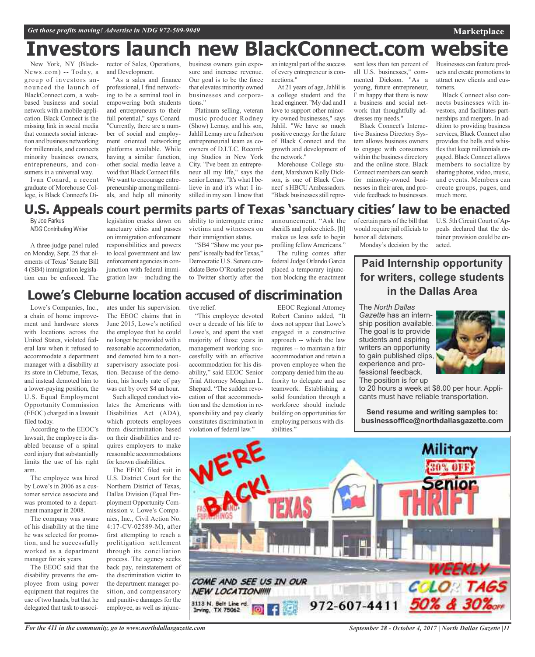## **Investors launch new BlackConnect.com website**

New York, NY (Black-News.com) -- Today, a group of investors announced the launch of BlackConnect.com, a webbased business and social network with a mobile application. Black Connect is the missing link in social media that connects social interaction and business networking for millennials, and connects minority business owners, entrepreneurs, and consumers in a universal way.

Ivan Conard, a recent graduate of Morehouse College, is Black Connect's Director of Sales, Operations, and Development.

"As a sales and finance professional, I find networking to be a seminal tool in empowering both students and entrepreneurs to their full potential," says Conard. "Currently, there are a number of social and employment oriented networking platforms available. While having a similar function, other social media leave a void that Black Connect fills. We want to encourage entrepreneurship among millennials, and help all minority

business owners gain exposure and increase revenue. Our goal is to be the force that elevates minority owned businesses and corporations."

Platinum selling, veteran music producer Rodney (Show) Lemay, and his son, Jahlil Lemay are a father/son entrepreneurial team as coowners of D.I.T.C. Recording Studios in New York City. "I've been an entrepreneur all my life," says the senior Lemay. "It's what I believe in and it's what I instilled in my son. I know that

an integral part of the success of every entrepreneur is connections."

At 21 years of age, Jahlil is a college student and the head engineer. "My dad and I love to support other minority-owned businesses," says Jahlil. "We have so much positive energy for the future of Black Connect and the growth and development of the network."

Morehouse College student, Marshawn Kelly Dickson, is one of Black Connect's HBCU Ambassadors. "Black businesses still represent less than ten percent of all U.S. businesses," commented Dickson. "As a young, future entrepreneur, I' m happy that there is now a business and social network that thoughtfully addresses my needs."

Black Connect's Interactive Business Directory System allows business owners to engage with consumers within the business directory and the online store. Black Connect members can search for minority-owned businesses in their area, and provide feedback to businesses.

Businesses can feature products and create promotions to attract new clients and customers.

**Marketplace**

Black Connect also connects businesses with investors, and facilitates partnerships and mergers. In addition to providing business services, Black Connect also provides the bells and whistles that keep millennials engaged. Black Connect allows members to socialize by sharing photos, video, music, and events. Members can create groups, pages, and much more.

### **U.S. Appeals court permits parts of Texas 'sanctuary cities' law to be enacted**

By Joe Farkus *NDG* Contributing Writer

A three-judge panel ruled on Monday, Sept. 25 that elements of Texas' Senate Bill 4 (SB4) immigration legislation can be enforced. The

legislation cracks down on sanctuary cities and passes on immigration enforcement responsibilities and powers to local government and law enforcement agencies in conjunction with federal immigration law – including the

ability to interrogate crime victims and witnesses on their immigration status.

"SB4 "Show me your papers" is really bad for Texas," Democratic U.S. Senate candidate Beto O'Rourke posted to Twitter shortly after the announcement. "Ask the sheriffs and police chiefs. [It] makes us less safe to begin profiling fellow Americans."

The ruling comes after federal Judge Orlando Garcia placed a temporary injunction blocking the enactment of certain parts of the bill that would require jail officials to honor all detainers. Monday's decision by the

U.S. 5th Circuit Court of Appeals declared that the detainer provision could be enacted.

## **Lowe's Cleburne location accused of discrimination**

Lowe's Companies, Inc., a chain of home improvement and hardware stores with locations across the United States, violated federal law when it refused to accommodate a department manager with a disability at its store in Cleburne, Texas, and instead demoted him to a lower-paying position, the U.S. Equal Employment Opportunity Commission (EEOC) charged in a lawsuit filed today.

According to the EEOC's lawsuit, the employee is disabled because of a spinal cord injury that substantially limits the use of his right arm.

The employee was hired by Lowe's in 2006 as a customer service associate and was promoted to a department manager in 2008.

The company was aware of his disability at the time he was selected for promotion, and he successfully worked as a department manager for six years.

The EEOC said that the disability prevents the employee from using power equipment that requires the use of two hands, but that he delegated that task to associates under his supervision. The EEOC claims that in June 2015, Lowe's notified the employee that he could no longer be provided with a reasonable accommodation, and demoted him to a nonsupervisory associate position. Because of the demotion, his hourly rate of pay was cut by over \$4 an hour.

Such alleged conduct violates the Americans with Disabilities Act (ADA), which protects employees from discrimination based on their disabilities and requires employers to make reasonable accommodations for known disabilities.

The EEOC filed suit in U.S. District Court for the Northern District of Texas, Dallas Division (Equal Employment Opportunity Commission v. Lowe's Companies, Inc., Civil Action No. 4:17-CV-02589-M), after first attempting to reach a prelitigation settlement through its conciliation process. The agency seeks back pay, reinstatement of the discrimination victim to the department manager position, and compensatory and punitive damages for the employee, as well as injunctive relief.

"This employee devoted over a decade of his life to Lowe's, and spent the vast majority of those years in management working successfully with an effective accommodation for his disability," said EEOC Senior Trial Attorney Meaghan L. Shepard. "The sudden revocation of that accommodation and the demotion in responsibility and pay clearly constitutes discrimination in violation of federal law.'

EEOC Regional Attorney Robert Canino added, "It does not appear that Lowe's engaged in a constructive approach -- which the law requires -- to maintain a fair accommodation and retain a proven employee when the company denied him the authority to delegate and use teamwork. Establishing a solid foundation through a workforce should include building on opportunities for employing persons with disabilities.'

**for writers, college students in the Dallas Area** The *North Dallas*

**Paid Internship opportunity**

*Gazette* has an internship position available. The goal is to provide students and aspiring writers an opportunity to gain published clips, experience and professional feedback. The position is for up

to 20 hours a week at \$8.00 per hour. Applicants must have reliable transportation.

**Send resume and writing samples to: businessoffice@northdallasgazette.com**



*September 28 - October 4, 2017 | North Dallas Gazette |11*

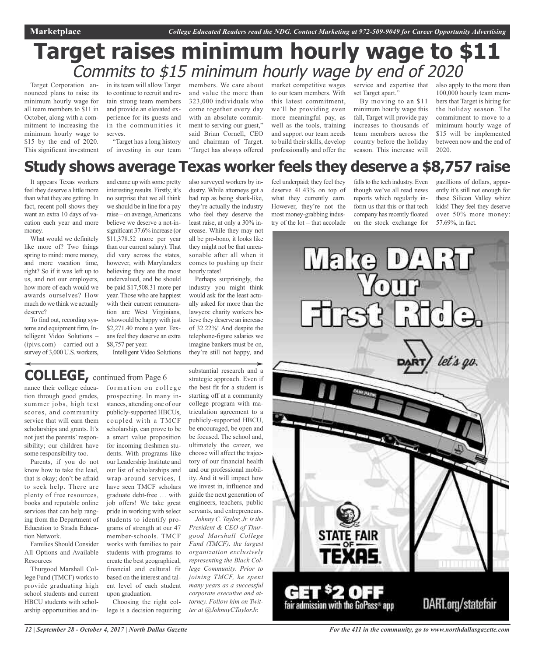## **Target raises minimum hourly wage to \$11** Commits to  $$15$  minimum hourly wage by end of 2020

Target Corporation announced plans to raise its minimum hourly wage for all team members to \$11 in October, along with a commitment to increasing the minimum hourly wage to \$15 by the end of 2020. This significant investment

in its team will allow Target to continue to recruit and retain strong team members and provide an elevated experience for its guests and in the communities it serves.

"Target has a long history of investing in our team members. We care about and value the more than 323,000 individuals who come together every day with an absolute commitment to serving our guest," said Brian Cornell, CEO and chairman of Target. "Target has always offered

market competitive wages to our team members. With this latest commitment, we'll be providing even more meaningful pay, as well as the tools, training and support our team needs to build their skills, develop professionally and offer the

service and expertise that set Target apart."

By moving to an \$11 minimum hourly wage this fall, Target will provide pay increases to thousands of team members across the country before the holiday season. This increase will also apply to the more than 100,000 hourly team members that Target is hiring for the holiday season. The commitment to move to a minimum hourly wage of \$15 will be implemented between now and the end of 2020.

### **Study shows average Texas worker feels they deserve a \$8,757 raise**

It appears Texas workers feel they deserve a little more than what they are getting. In fact, recent poll shows they want an extra 10 days of vacation each year and more money.

What would we definitely like more of? Two things spring to mind: more money, and more vacation time, right? So if it was left up to us, and not our employers, how more of each would we awards ourselves? How much do we think we actually deserve?

To find out, recording systems and equipment firm, Intelligent Video Solutions – (ipivs.com) – carried out a survey of 3,000 U.S. workers,

and came up with some pretty interesting results. Firstly, it's no surprise that we all think we should be in line for a pay raise – on average,Americans believe we deserve a not-insignificant 37.6% increase (or \$11,378.52 more per year than our current salary). That did vary across the states, however, with Marylanders believing they are the most undervalued, and be should be paid \$17,508.31 more per year. Those who are happiest with their current remuneration are West Virginians, whowould be happy with just \$2,271.40 more a year. Texansfeel they deserve an extra \$8,757 per year.

Intelligent Video Solutions

## **COLLEGE,** continued from Page <sup>6</sup>

nance their college education through good grades, summer jobs, high test scores, and community service that will earn them scholarships and grants. It's not just the parents' responsibility; our children have some responsibility too.

Parents, if you do not know how to take the lead, that is okay; don't be afraid to seek help. There are plenty of free resources, books and reputable online services that can help ranging from the Department of Education to Strada Education Network.

Families Should Consider All Options and Available **Resources** 

Thurgood Marshall College Fund (TMCF) works to provide graduating high school students and current HBCU students with scholarship opportunities and in-

formation on college prospecting. In many instances, attending one of our publicly-supported HBCUs, coupled with a TMCF scholarship, can prove to be a smart value proposition for incoming freshmen students. With programs like our Leadership Institute and our list of scholarships and wrap-around services, I have seen TMCF scholars graduate debt-free … with job offers! We take great pride in working with select students to identify programs of strength at our 47 member-schools. TMCF works with families to pair students with programs to create the best geographical, financial and cultural fit based on the interest and talent level of each student upon graduation.

Choosing the right college is a decision requiring

also surveyed workers by industry. While attorneys get a bad rep as being shark-like, they're actually the industry who feel they deserve the least raise, at only a 30% increase. While they may not all be pro-bono, it looks like they might not be that unreasonable after all when it comes to pushing up their hourly rates!

Perhaps surprisingly, the industry you might think would ask for the least actually asked for more than the lawyers: charity workers believe they deserve an increase of 32.22%! And despite the telephone-figure salaries we imagine bankers must be on,

substantial research and a strategic approach. Even if the best fit for a student is starting off at a community college program with matriculation agreement to a publicly-supported HBCU, be encouraged, be open and be focused. The school and, ultimately the career, we choose will affect the trajectory of our financial health they're still not happy, and

and our professional mobility. And it will impact how we invest in, influence and guide the next generation of engineers, teachers, public servants, and entrepreneurs. *Johnny C. Taylor, Jr. is the* 

*President & CEO of Thurgood Marshall College Fund (TMCF), the largest organization exclusively representing the Black College Community. Prior to joining TMCF, he spent many years as a successful corporate executive and attorney. Follow him on Twitter at @JohnnyCTaylorJr.*

feel underpaid; they feel they deserve 41.43% on top of what they currently earn. However, they're not the most money-grabbing industry of the lot – that accolade

falls to the tech industry. Even though we've all read news reports which regularly inform us that this or that tech company has recently floated on the stock exchange for

gazillions of dollars, apparently it's still not enough for these Silicon Valley whizz kids! They feel they deserve over 50% more money: 57.69%, in fact.



*For the 411 in the community, go to www.northdallasgazette.com*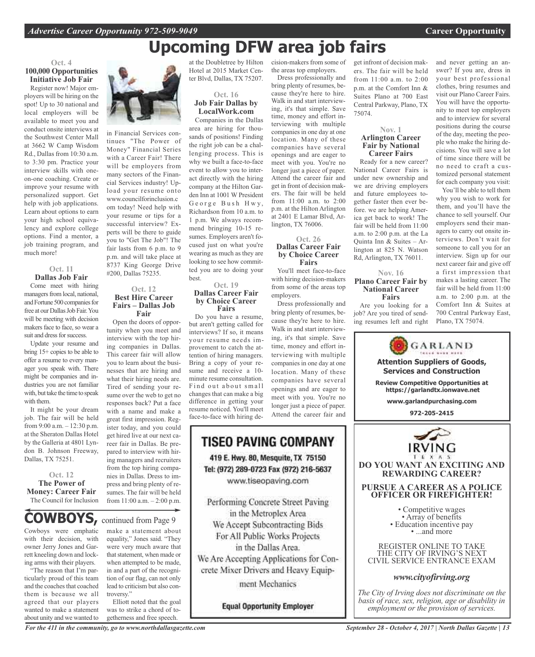## **Upcoming DFW area job fairs**

### **Oct. 4 100,000 Opportunities Initiative Job Fair**

Register now! Major employers will be hiring on the spot! Up to 30 national and local employers will be available to meet you and conduct onsite interviews at the Southwest Center Mall at 3662 W Camp Wisdom Rd., Dallas from 10:30 a.m. to 3:30 pm. Practice your interview skills with oneon-one coaching. Create or improve your resume with personalized support. Get help with job applications. Learn about options to earn your high school equivalency and explore college options. Find a mentor, a job training program, and much more!

### **Oct. 11**

**Dallas Job Fair** Come meet with hiring managers from local, national, and Fortune 500 companies for free at our Dallas Job Fair. You will be meeting with decision makers face to face, so wear a suit and dress for success.

Update your resume and bring 15+ copies to be able to offer a resume to every manager you speak with. There might be companies and industries you are not familiar with, but take the time to speak with them.

It might be your dream job. The fair will be held from 9:00 a.m. – 12:30 p.m. at the Sheraton Dallas Hotel by the Galleria at 4801 Lyndon B. Johnson Freeway, Dallas, TX 75251.

**Oct. 12 The Power of Money: Career Fair** The Council for Inclusion

Cowboys were emphatic with their decision, with owner Jerry Jones and Garrett kneeling down and locking arms with their players. **COWBOYS,** continued from Page <sup>9</sup>

The reason that I'm particularly proud of this team and the coaches that coached them is because we all agreed that our players wanted to make a statement about unity and we wanted to



in Financial Services continues "The Power of Money" Financial Series with a Career Fair! There will be employers from many sectors of the Financial Services industry! Upload your resume onto www.councilforinclusion.c om today! Need help with your resume or tips for a successful interview? Experts will be there to guide you to "Get The Job"! The fair lasts from 6 p.m. to 9 p.m. and will take place at 8737 King George Drive #200, Dallas 75235.

### **Oct. 12 Best Hire Career Fairs – Dallas Job Fair**

Open the doors of opportunity when you meet and interview with the top hiring companies in Dallas. This career fair will allow you to learn about the businesses that are hiring and what their hiring needs are. Tired of sending your resume over the web to get no responses back? Put a face with a name and make a great first impression. Register today, and you could get hired live at our next career fair in Dallas. Be prepared to interview with hiring managers and recruiters from the top hiring companies in Dallas. Dress to impress and bring plenty of resumes. The fair will be held from 11:00 a.m. – 2:00 p.m.

at the Doubletree by Hilton Hotel at 2015 Market Center Blvd, Dallas, TX 75207.



Companies in the Dallas area are hiring for thousands of positions! Finding the right job can be a challenging process. This is why we built a face-to-face event to allow you to interact directly with the hiring company at the Hilton Garden Inn at 1001 W President George Bush Hwy, Richardson from 10 a.m. to 1 p.m. We always recommend bringing 10-15 resumes. Employers aren't focused just on what you're wearing as much as they are looking to see how committed you are to doing your best.

#### **Oct. 19 Dallas Career Fair by Choice Career Fairs**

Do you have a resume, but aren't getting called for interviews? If so, it means your resume needs improvement to catch the attention of hiring managers. Bring a copy of your resume and receive a 10 minute resume consultation. Find out about small changes that can make a big difference in getting your resume noticed. You'll meet face-to-face with hiring de-

### **TISEO PAVING COMPANY** 419 E. Hwy. 80, Mesquite, TX 75150 Tel: (972) 289-0723 Fax (972) 216-5637

www.tiseopaving.com

Performing Concrete Street Paving in the Metroplex Area We Accept Subcontracting Bids For All Public Works Projects in the Dallas Area. We Are Accepting Applications for Concrete Mixer Drivers and Heavy Equipment Mechanics

**Equal Opportunity Employer** 

cision-makers from some of the areas top employers. Dress professionally and

bring plenty of resumes, because they're here to hire. Walk in and start interviewing, it's that simple. Save time, money and effort interviewing with multiple companies in one day at one location. Many of these companies have several openings and are eager to meet with you. You're no longer just a piece of paper. Attend the career fair and get in front of decision makers. The fair will be held from 11:00 a.m. to 2:00 p.m. at the Hilton Arlington at 2401 E Lamar Blvd, Arlington, TX 76006.

#### **Oct. 26 Dallas Career Fair by Choice Career Fairs**

You'll meet face-to-face with hiring decision-makers from some of the areas top employers.

Dress professionally and bring plenty of resumes, because they're here to hire. Walk in and start interviewing, it's that simple. Save time, money and effort interviewing with multiple companies in one day at one location. Many of these companies have several openings and are eager to meet with you. You're no longer just a piece of paper. Attend the career fair and

get infront of decision makers. The fair will be held from 11:00 a.m. to 2:00 p.m. at the Comfort Inn & Suites Plano at 700 East Central Parkway, Plano, TX 75074.

#### **Nov. 1 Arlington Career Fair by National Career Fairs**

Ready for a new career? National Career Fairs is under new ownership and we are driving employers and future employees together faster then ever before. we are helping America get back to work! The fair will be held from 11:00 a.m. to 2:00 p.m. at the La Ouinta Inn  $&$  Suites – Arlington at 825 N. Watson Rd, Arlington, TX 76011.

### **Nov. 16 Plano Career Fair by National Career Fairs**

Are you looking for a job? Are you tired of sending resumes left and right and never getting an answer? If you are, dress in your best professional clothes, bring resumes and visit our Plano Career Fairs. You will have the opportunity to meet top employers and to interview for several positions during the course of the day, meeting the people who make the hiring decisions. You will save a lot of time since there will be no need to craft a customized personal statement for each company you visit:

You'll be able to tell them why you wish to work for them, and you'll have the chance to sell yourself. Our employers send their managers to carry out onsite interviews. Don't wait for someone to call you for an interview. Sign up for our next career fair and give off a first impression that makes a lasting career. The fair will be held from 11:00 a.m. to 2:00 p.m. at the Comfort Inn & Suites at 700 Central Parkway East, Plano, TX 75074.



THE CITY OF IRVING'S NEXT CIVIL SERVICE ENTRANCE EXAM

### *www.cityofirving.org*

*The City of Irving does not discriminate on the basis of race, sex, religion, age or disability in employment or the provision of services.*

make a statement about equality," Jones said. "They were very much aware that that statement, when made or when attempted to be made, in and a part of the recognition of our flag, can not only lead to criticism but also controversy."

Elliott noted that the goal was to strike a chord of togetherness and free speech.

*For the 411 in the community, go to www.northdallasgazette.com*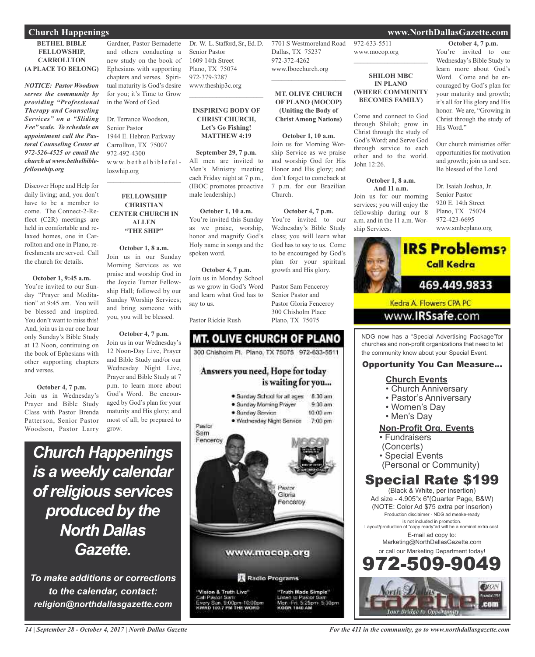### **Church Happenings www.NorthDallasGazette.com**

#### **BETHEL BIBLE FELLOWSHIP, CARROLLTON (A PLACE TO BELONG)**

*NOTICE: Pastor Woodson serves the community by providing "Professional Therapy and Counseling Services" on a "Sliding Fee" scale. To schedule an appointment call the Pastoral Counseling Center at 972-526-4525 or email the church at www.bethelbiblefelloswhip.org*

Discover Hope and Help for daily living; and, you don't have to be a member to come. The Connect-2-Reflect (C2R) meetings are held in comfortable and relaxed homes, one in Carrollton and one in Plano, refreshments are served. Call the church for details.

#### **October 1, 9:45 a.m.**

You're invited to our Sunday "Prayer and Meditation" at 9:45 am. You will be blessed and inspired. You don't want to miss this! And, join us in our one hour only Sunday's Bible Study at 12 Noon, continuing on the book of Ephesians with other supporting chapters and verses.

**October 4, 7 p.m.** Join us in Wednesday's Prayer and Bible Study Class with Pastor Brenda Patterson, Senior Pastor Woodson, Pastor Larry

Gardner, Pastor Bernadette and others conducting a new study on the book of Ephesians with supporting chapters and verses. Spiritual maturity is God's desire for you; it's Time to Grow in the Word of God.

Dr. Terrance Woodson, Senior Pastor 1944 E. Hebron Parkway Carrollton, TX 75007 972-492-4300  $w w w.$ be the  $l$ bible felloswhip.org

### **FELLOWSHIP CHRISTIAN CENTER CHURCH IN ALLEN "THE SHIP"**

 $\mathcal{L}_\text{max}$  and  $\mathcal{L}_\text{max}$  and  $\mathcal{L}_\text{max}$ 

**October 1, 8 a.m.** Join us in our Sunday Morning Services as we praise and worship God in the Joycie Turner Fellowship Hall; followed by our Sunday Worship Services; and bring someone with you, you will be blessed.

### **October 4, 7 p.m.** Join us in our Wednesday's 12 Noon-Day Live, Prayer and Bible Study and/or our Wednesday Night Live, Prayer and Bible Study at 7 p.m. to learn more about God's Word. Be encouraged by God's plan for your maturity and His glory; and most of all; be prepared to grow.

*Church Happenings is a weekly calendar ofreligious services produced by the North Dallas Gazette.*

*To make additions or corrections to the calendar, contact: religion@northdallasgazette.com*

Dr. W. L. Stafford, Sr., Ed. D. Senior Pastor 1609 14th Street Plano, TX 75074 972-379-3287 www.theship3c.org

### **INSPIRING BODY OF CHRIST CHURCH, Let's Go Fishing! MATTHEW 4:19**

 $\mathcal{L}=\mathcal{L}^{\mathcal{L}}$  , where  $\mathcal{L}^{\mathcal{L}}$  , we have the set of the set of the set of the set of the set of the set of the set of the set of the set of the set of the set of the set of the set of the set of the set of

**September 29, 7 p.m.** All men are invited to Men's Ministry meeting each Friday night at 7 p.m., (IBOC promotes proactive male leadership.)

#### **October 1, 10 a.m.** You're invited this Sunday

as we praise, worship, honor and magnify God's Holy name in songs and the spoken word.

### **October 4, 7 p.m.**

Join us in Monday School as we grow in God's Word and learn what God has to say to us.

Pastor Rickie Rush

## **MT. OLIVE CHURCH OF PLANO** 300 Chishoim Pl. Plano, TX 75075 972-633-5511

Answers you need, Hope for today

Church.

is waiting for you... · Sunday School for all ages 8:30 am



· Wednesday Night Service 7:00 pm



Pastor



asior Sam<br>Sun. 9:00pm-10:00pm<br>103.7 FM THE WORD

5:30pm

972-633-5511 www.mocop.org  $\overline{\phantom{a}}$  , where  $\overline{\phantom{a}}$ 

7701 S Westmoreland Road

**MT. OLIVE CHURCH OF PLANO (MOCOP) (Uniting the Body of Christ Among Nations)**

**October 1, 10 a.m.** Join us for Morning Worship Service as we praise and worship God for His Honor and His glory; and don't forget to comeback at 7 p.m. for our Brazilian

**October 4, 7 p.m.** You're invited to our Wednesday's Bible Study class; you will learn what God has to say to us. Come to be encouraged by God's plan for your spiritual growth and His glory.

Pastor Sam Fenceroy Senior Pastor and Pastor Gloria Fenceroy 300 Chisholm Place Plano, TX 75075

Dallas, TX 75237 972-372-4262 www.Ibocchurch.org  $\mathcal{L}_\text{max}$  and  $\mathcal{L}_\text{max}$  and  $\mathcal{L}_\text{max}$ 

#### **SHILOH MBC IN PLANO (WHERE COMMUNITY BECOMES FAMILY)**

Come and connect to God through Shiloh; grow in Christ through the study of God's Word; and Serve God through service to each other and to the world. John 12:26.

#### **October 1, 8 a.m. And 11 a.m.**

Join us for our morning services; you will enjoy the fellowship during our 8 a.m. and in the 11 a.m. Worship Services.

### **October 4, 7 p.m.**

You're invited to our Wednesday's Bible Study to learn more about God's Word. Come and be encouraged by God's plan for your maturity and growth; it's all for His glory and His honor. We are, "Growing in Christ through the study of His Word."

Our church ministries offer opportunities for motivation and growth; join us and see. Be blessed of the Lord.

Dr. Isaiah Joshua, Jr. Senior Pastor 920 E. 14th Street Plano, TX 75074 972-423-6695 www.smbcplano.org



NDG now has a "Special Advertising Package"for churches and non-profit organizations that need to let the community know about your Special Event.

### Opportunity You Can Measure...

### **Church Events**

- Church Anniversary
- Pastor's Anniversary
- Women's Day
- Men's Day

### **Non-Profit Org. Events**

- Fundraisers
- (Concerts)
- Special Events
- (Personal or Community)

### Special Rate \$199

(Black & White, per insertion) Ad size - 4.905"x 6"(Quarter Page, B&W) (NOTE: Color Ad \$75 extra per inserion) Production disclaimer - NDG ad meake-ready is not included in promotion. Layout/production of "copy ready"ad will be a nominal extra cost. E-mail ad copy to: Marketing@NorthDallasGazette.com or call our Marketing Department today! -509-9



*14 | September 28 - October 4, 2017 | North Dallas Gazette*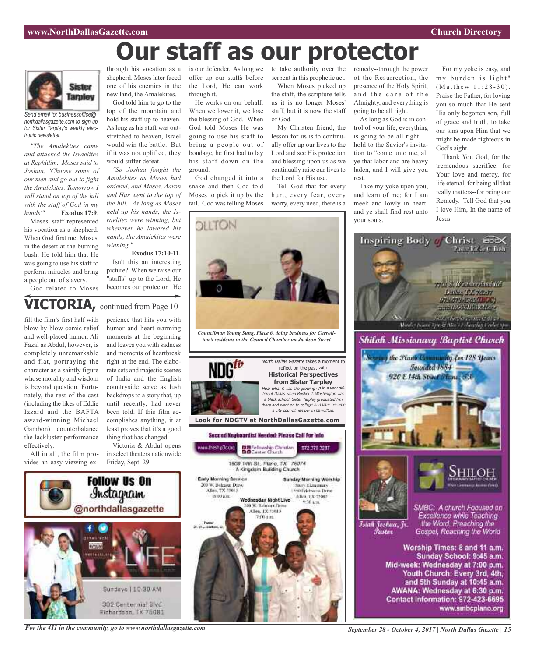# **Our staff as our protector**



*Send email to: businessoffice@ northdallasgazette.com to sign up for Sister Tarpley's weekly electronic newsletter.*

*"The Amalekites came and attacked the Israelites at Rephidim. Moses said to Joshua, 'Choose some of our men and go out to fight the Amalekites. Tomorrow I will stand on top of the hill with the staff of God in my hands'"* **Exodus 17:9**.

Moses' staff represented his vocation as a shepherd. When God first met Moses' in the desert at the burning bush, He told him that He was going to use his staff to perform miracles and bring a people out of slavery.

God related to Moses

through his vocation as a shepherd. Moses later faced one of his enemies in the new land, the Amalekites.

God told him to go to the top of the mountain and hold his staff up to heaven. As long as his staff was outstretched to heaven, Israel would win the battle. But if it was not uplifted, they would suffer defeat.

*"So Joshua fought the Amalekites as Moses had ordered, and Moses, Aaron and Hur went to the top of the hill. As long as Moses held up his hands, the Israelites were winning, but whenever he lowered his hands, the Amalekites were winning."*

### **Exodus 17:10-11**.

Isn't this an interesting picture? When we raise our "staffs" up to the Lord, He becomes our protector. He

### **VICTORIA,** continued from Page <sup>10</sup>

fill the film's first half with blow-by-blow comic relief and well-placed humor. Ali Fazal as Abdul, however, is completely unremarkable and flat, portraying the character as a saintly figure whose morality and wisdom is beyond question. Fortunately, the rest of the cast (including the likes of Eddie Izzard and the BAFTA award-winning Michael Gambon) counterbalance the lackluster performance effectively.

All in all, the film provides an easy-viewing ex-

perience that hits you with humor and heart-warming moments at the beginning and leaves you with sadness and moments of heartbreak right at the end. The elaborate sets and majestic scenes of India and the English countryside serve as lush backdrops to a story that, up until recently, had never been told. If this film accomplishes anything, it at least proves that it's a good thing that has changed.

Victoria & Abdul opens in select theaters nationwide Friday, Sept. 29.



*For the 411 in the community, go to www.northdallasgazette.com*

is our defender. As long we offer up our staffs before the Lord, He can work through it.

> He works on our behalf. When we lower it, we lose the blessing of God. When God told Moses He was going to use his staff to bring a people out of bondage, he first had to lay his staff down on the ground.

God changed it into a snake and then God told Moses to pick it up by the tail. God was telling Moses

to take authority over the serpent in this prophetic act. When Moses picked up

the staff, the scripture tells us it is no longer Moses' staff, but it is now the staff of God.

My Christen friend, the lesson for us is to continually offer up our lives to the Lord and see His protection and blessing upon us as we continually raise our lives to the Lord for His use.

Tell God that for every hurt, every fear, every worry, every need, there is a remedy--through the power of the Resurrection, the presence of the Holy Spirit, and the care of the Almighty, and everything is going to be all right.

As long as God is in control of your life, everything is going to be all right. I hold to the Savior's invitation to "come unto me, all ye that labor and are heavy laden, and I will give you rest.

Take my yoke upon you, and learn of me; for I am meek and lowly in heart: and ye shall find rest unto your souls.

For my yoke is easy, and my burden is light"  $(M$  at the w  $11:28-30$ . Praise the Father, for loving you so much that He sent His only begotten son, full of grace and truth, to take our sins upon Him that we might be made righteous in God's sight.

Thank You God, for the tremendous sacrifice, for Your love and mercy, for life eternal, for being all that really matters--for being our Remedy. Tell God that you I love Him, In the name of Jesus.

Pastor Rickle G. Bush.





Inspiring Body // Christ no